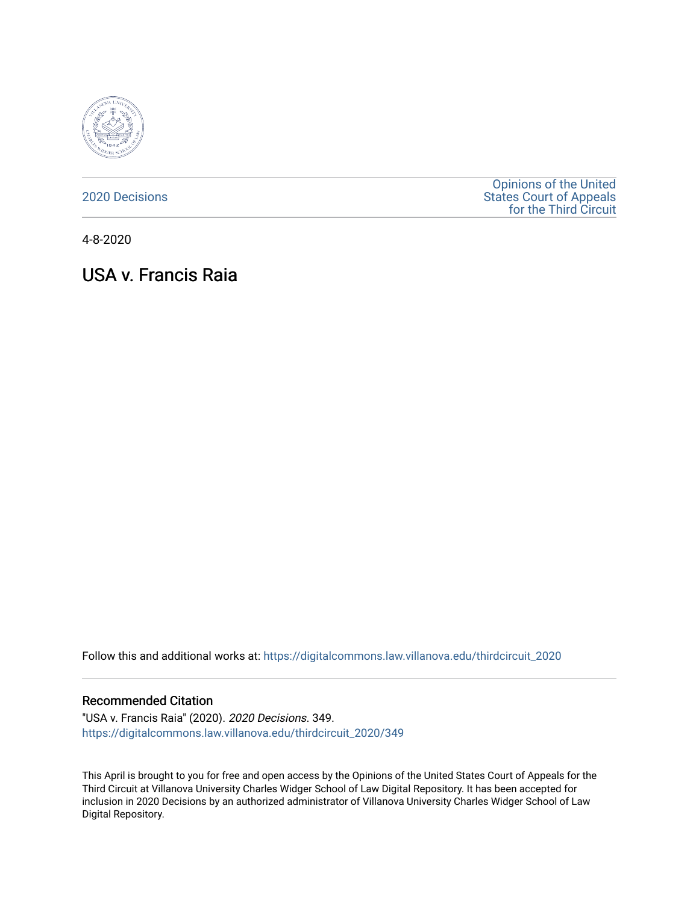

[2020 Decisions](https://digitalcommons.law.villanova.edu/thirdcircuit_2020)

[Opinions of the United](https://digitalcommons.law.villanova.edu/thirdcircuit)  [States Court of Appeals](https://digitalcommons.law.villanova.edu/thirdcircuit)  [for the Third Circuit](https://digitalcommons.law.villanova.edu/thirdcircuit) 

4-8-2020

# USA v. Francis Raia

Follow this and additional works at: [https://digitalcommons.law.villanova.edu/thirdcircuit\\_2020](https://digitalcommons.law.villanova.edu/thirdcircuit_2020?utm_source=digitalcommons.law.villanova.edu%2Fthirdcircuit_2020%2F349&utm_medium=PDF&utm_campaign=PDFCoverPages) 

#### Recommended Citation

"USA v. Francis Raia" (2020). 2020 Decisions. 349. [https://digitalcommons.law.villanova.edu/thirdcircuit\\_2020/349](https://digitalcommons.law.villanova.edu/thirdcircuit_2020/349?utm_source=digitalcommons.law.villanova.edu%2Fthirdcircuit_2020%2F349&utm_medium=PDF&utm_campaign=PDFCoverPages)

This April is brought to you for free and open access by the Opinions of the United States Court of Appeals for the Third Circuit at Villanova University Charles Widger School of Law Digital Repository. It has been accepted for inclusion in 2020 Decisions by an authorized administrator of Villanova University Charles Widger School of Law Digital Repository.